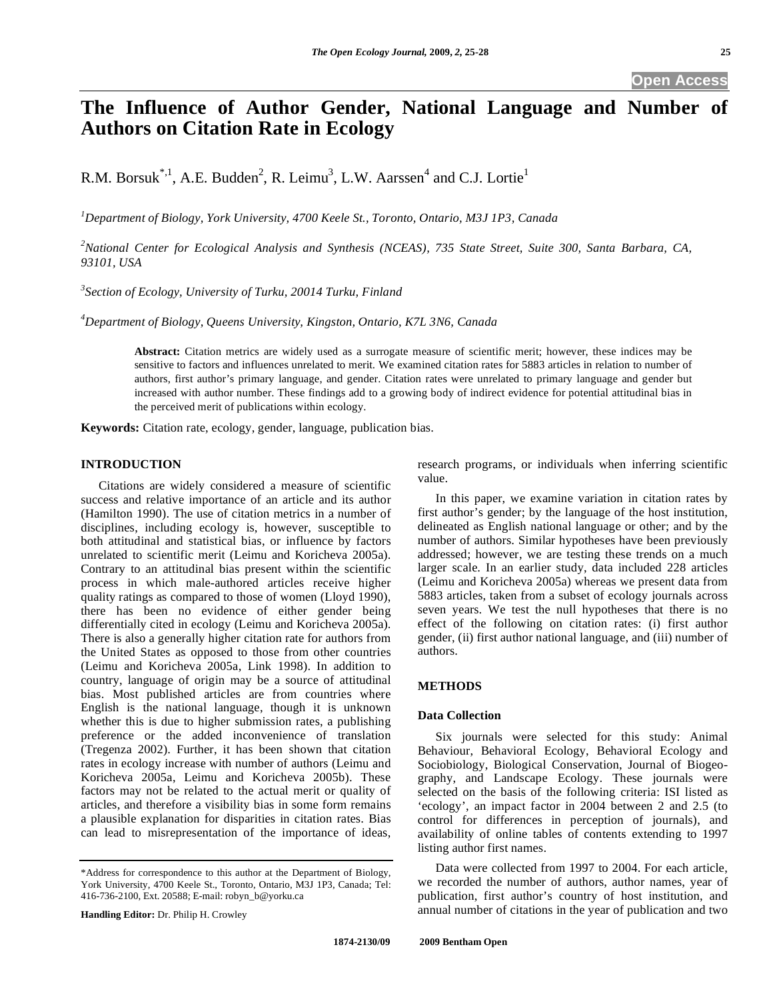# **The Influence of Author Gender, National Language and Number of Authors on Citation Rate in Ecology**

R.M. Borsuk<sup>\*,1</sup>, A.E. Budden<sup>2</sup>, R. Leimu<sup>3</sup>, L.W. Aarssen<sup>4</sup> and C.J. Lortie<sup>1</sup>

*1 Department of Biology, York University, 4700 Keele St., Toronto, Ontario, M3J 1P3, Canada* 

*2 National Center for Ecological Analysis and Synthesis (NCEAS), 735 State Street, Suite 300, Santa Barbara, CA, 93101, USA* 

*3 Section of Ecology, University of Turku, 20014 Turku, Finland* 

*4 Department of Biology, Queens University, Kingston, Ontario, K7L 3N6, Canada* 

**Abstract:** Citation metrics are widely used as a surrogate measure of scientific merit; however, these indices may be sensitive to factors and influences unrelated to merit. We examined citation rates for 5883 articles in relation to number of authors, first author's primary language, and gender. Citation rates were unrelated to primary language and gender but increased with author number. These findings add to a growing body of indirect evidence for potential attitudinal bias in the perceived merit of publications within ecology.

**Keywords:** Citation rate, ecology, gender, language, publication bias.

## **INTRODUCTION**

 Citations are widely considered a measure of scientific success and relative importance of an article and its author (Hamilton 1990). The use of citation metrics in a number of disciplines, including ecology is, however, susceptible to both attitudinal and statistical bias, or influence by factors unrelated to scientific merit (Leimu and Koricheva 2005a). Contrary to an attitudinal bias present within the scientific process in which male-authored articles receive higher quality ratings as compared to those of women (Lloyd 1990), there has been no evidence of either gender being differentially cited in ecology (Leimu and Koricheva 2005a). There is also a generally higher citation rate for authors from the United States as opposed to those from other countries (Leimu and Koricheva 2005a, Link 1998). In addition to country, language of origin may be a source of attitudinal bias. Most published articles are from countries where English is the national language, though it is unknown whether this is due to higher submission rates, a publishing preference or the added inconvenience of translation (Tregenza 2002). Further, it has been shown that citation rates in ecology increase with number of authors (Leimu and Koricheva 2005a, Leimu and Koricheva 2005b). These factors may not be related to the actual merit or quality of articles, and therefore a visibility bias in some form remains a plausible explanation for disparities in citation rates. Bias can lead to misrepresentation of the importance of ideas,

**Handling Editor:** Dr. Philip H. Crowley

research programs, or individuals when inferring scientific value.

 In this paper, we examine variation in citation rates by first author's gender; by the language of the host institution, delineated as English national language or other; and by the number of authors. Similar hypotheses have been previously addressed; however, we are testing these trends on a much larger scale. In an earlier study, data included 228 articles (Leimu and Koricheva 2005a) whereas we present data from 5883 articles, taken from a subset of ecology journals across seven years. We test the null hypotheses that there is no effect of the following on citation rates: (i) first author gender, (ii) first author national language, and (iii) number of authors.

# **METHODS**

## **Data Collection**

 Six journals were selected for this study: Animal Behaviour, Behavioral Ecology, Behavioral Ecology and Sociobiology, Biological Conservation, Journal of Biogeography, and Landscape Ecology. These journals were selected on the basis of the following criteria: ISI listed as 'ecology', an impact factor in 2004 between 2 and 2.5 (to control for differences in perception of journals), and availability of online tables of contents extending to 1997 listing author first names.

 Data were collected from 1997 to 2004. For each article, we recorded the number of authors, author names, year of publication, first author's country of host institution, and annual number of citations in the year of publication and two

<sup>\*</sup>Address for correspondence to this author at the Department of Biology, York University, 4700 Keele St., Toronto, Ontario, M3J 1P3, Canada; Tel: 416-736-2100, Ext. 20588; E-mail: robyn\_b@yorku.ca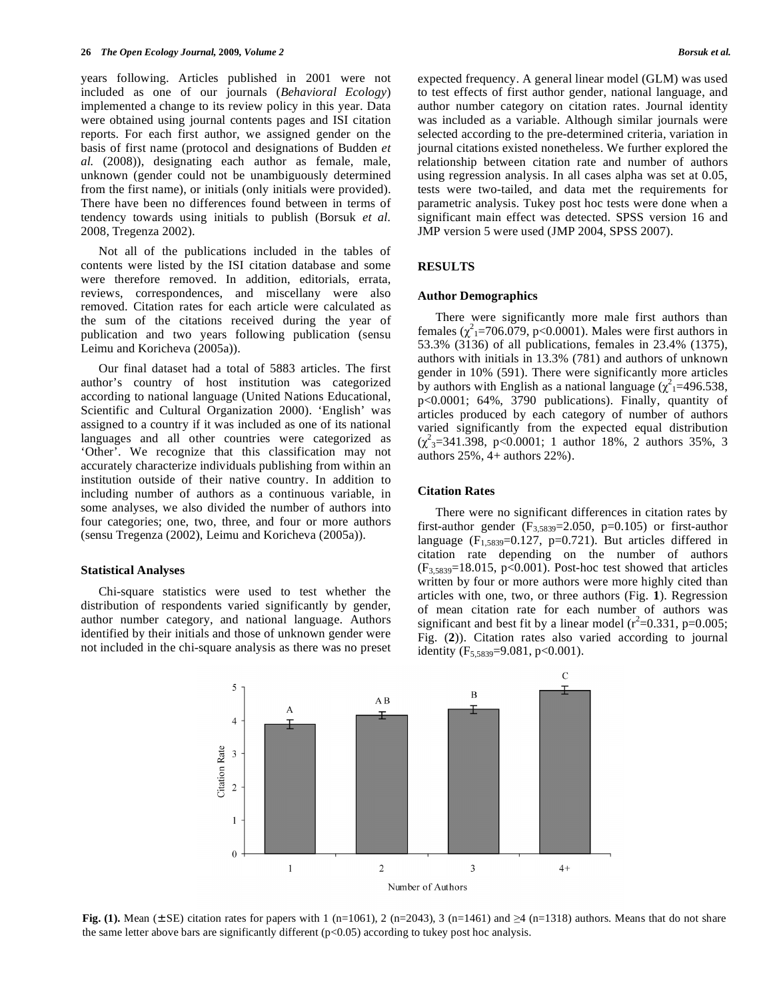years following. Articles published in 2001 were not included as one of our journals (*Behavioral Ecology*) implemented a change to its review policy in this year. Data were obtained using journal contents pages and ISI citation reports. For each first author, we assigned gender on the basis of first name (protocol and designations of Budden *et al.* (2008)), designating each author as female, male, unknown (gender could not be unambiguously determined from the first name), or initials (only initials were provided). There have been no differences found between in terms of tendency towards using initials to publish (Borsuk *et al.* 2008, Tregenza 2002).

 Not all of the publications included in the tables of contents were listed by the ISI citation database and some were therefore removed. In addition, editorials, errata, reviews, correspondences, and miscellany were also removed. Citation rates for each article were calculated as the sum of the citations received during the year of publication and two years following publication (sensu Leimu and Koricheva (2005a)).

 Our final dataset had a total of 5883 articles. The first author's country of host institution was categorized according to national language (United Nations Educational, Scientific and Cultural Organization 2000). 'English' was assigned to a country if it was included as one of its national languages and all other countries were categorized as 'Other'. We recognize that this classification may not accurately characterize individuals publishing from within an institution outside of their native country. In addition to including number of authors as a continuous variable, in some analyses, we also divided the number of authors into four categories; one, two, three, and four or more authors (sensu Tregenza (2002), Leimu and Koricheva (2005a)).

## **Statistical Analyses**

 Chi-square statistics were used to test whether the distribution of respondents varied significantly by gender, author number category, and national language. Authors identified by their initials and those of unknown gender were not included in the chi-square analysis as there was no preset expected frequency. A general linear model (GLM) was used to test effects of first author gender, national language, and author number category on citation rates. Journal identity was included as a variable. Although similar journals were selected according to the pre-determined criteria, variation in journal citations existed nonetheless. We further explored the relationship between citation rate and number of authors using regression analysis. In all cases alpha was set at 0.05, tests were two-tailed, and data met the requirements for parametric analysis. Tukey post hoc tests were done when a significant main effect was detected. SPSS version 16 and JMP version 5 were used (JMP 2004, SPSS 2007).

#### **RESULTS**

#### **Author Demographics**

 There were significantly more male first authors than females  $(\chi^2_{1} = 706.079, p < 0.0001)$ . Males were first authors in 53.3% (3136) of all publications, females in 23.4% (1375), authors with initials in 13.3% (781) and authors of unknown gender in 10% (591). There were significantly more articles by authors with English as a national language  $(\chi^2)$  = 496.538, p<0.0001; 64%, 3790 publications). Finally, quantity of articles produced by each category of number of authors varied significantly from the expected equal distribution  $(\chi^2_{3}=341.398, \, p<0.0001; 1 \, \text{author}$  18%, 2 authors 35%, 3 authors 25%, 4+ authors 22%).

## **Citation Rates**

 There were no significant differences in citation rates by first-author gender  $(F_{3,5839}=2.050, p=0.105)$  or first-author language ( $F_{1,5839}$ =0.127, p=0.721). But articles differed in citation rate depending on the number of authors  $(F_{3,5839}=18.015, p<0.001)$ . Post-hoc test showed that articles written by four or more authors were more highly cited than articles with one, two, or three authors (Fig. **1**). Regression of mean citation rate for each number of authors was significant and best fit by a linear model ( $r^2$ =0.331, p=0.005; Fig. (**2**)). Citation rates also varied according to journal identity  $(F_{5,5839}=9.081, p<0.001)$ .



**Fig.** (1). Mean ( $\pm$  SE) citation rates for papers with 1 (n=1061), 2 (n=2043), 3 (n=1461) and  $\geq$ 4 (n=1318) authors. Means that do not share the same letter above bars are significantly different  $(p<0.05)$  according to tukey post hoc analysis.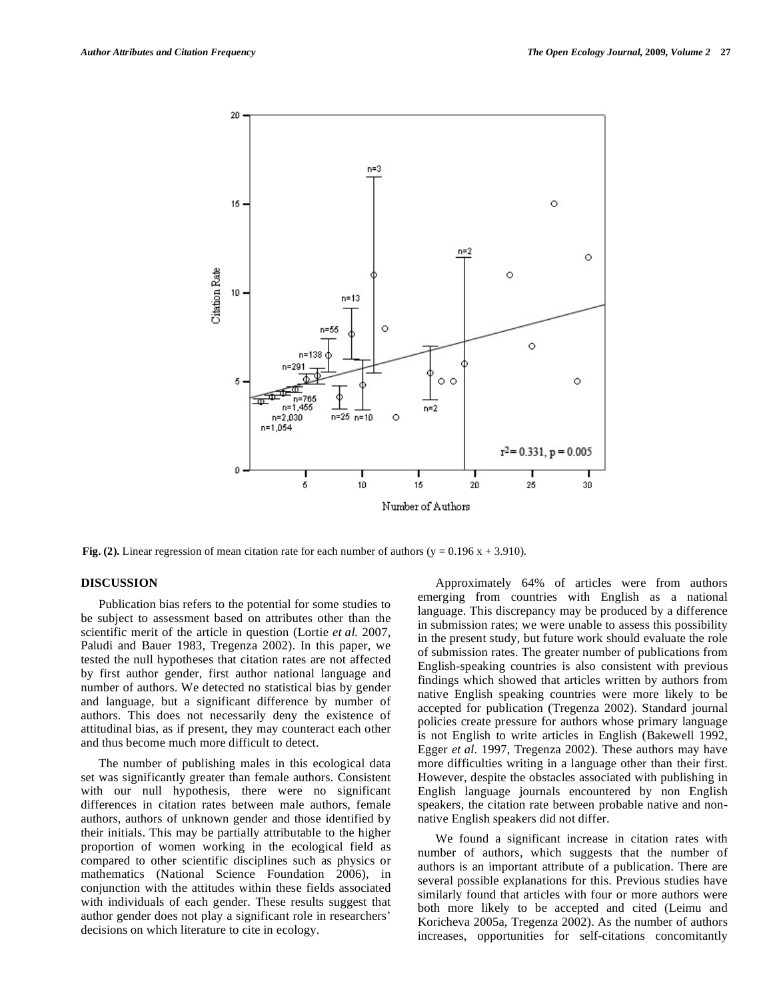

**Fig. (2).** Linear regression of mean citation rate for each number of authors ( $y = 0.196x + 3.910$ ).

## **DISCUSSION**

 Publication bias refers to the potential for some studies to be subject to assessment based on attributes other than the scientific merit of the article in question (Lortie *et al.* 2007, Paludi and Bauer 1983, Tregenza 2002). In this paper, we tested the null hypotheses that citation rates are not affected by first author gender, first author national language and number of authors. We detected no statistical bias by gender and language, but a significant difference by number of authors. This does not necessarily deny the existence of attitudinal bias, as if present, they may counteract each other and thus become much more difficult to detect.

 The number of publishing males in this ecological data set was significantly greater than female authors. Consistent with our null hypothesis, there were no significant differences in citation rates between male authors, female authors, authors of unknown gender and those identified by their initials. This may be partially attributable to the higher proportion of women working in the ecological field as compared to other scientific disciplines such as physics or mathematics (National Science Foundation 2006), in conjunction with the attitudes within these fields associated with individuals of each gender. These results suggest that author gender does not play a significant role in researchers' decisions on which literature to cite in ecology.

 Approximately 64% of articles were from authors emerging from countries with English as a national language. This discrepancy may be produced by a difference in submission rates; we were unable to assess this possibility in the present study, but future work should evaluate the role of submission rates. The greater number of publications from English-speaking countries is also consistent with previous findings which showed that articles written by authors from native English speaking countries were more likely to be accepted for publication (Tregenza 2002). Standard journal policies create pressure for authors whose primary language is not English to write articles in English (Bakewell 1992, Egger *et al.* 1997, Tregenza 2002). These authors may have more difficulties writing in a language other than their first. However, despite the obstacles associated with publishing in English language journals encountered by non English speakers, the citation rate between probable native and nonnative English speakers did not differ.

 We found a significant increase in citation rates with number of authors, which suggests that the number of authors is an important attribute of a publication. There are several possible explanations for this. Previous studies have similarly found that articles with four or more authors were both more likely to be accepted and cited (Leimu and Koricheva 2005a, Tregenza 2002). As the number of authors increases, opportunities for self-citations concomitantly